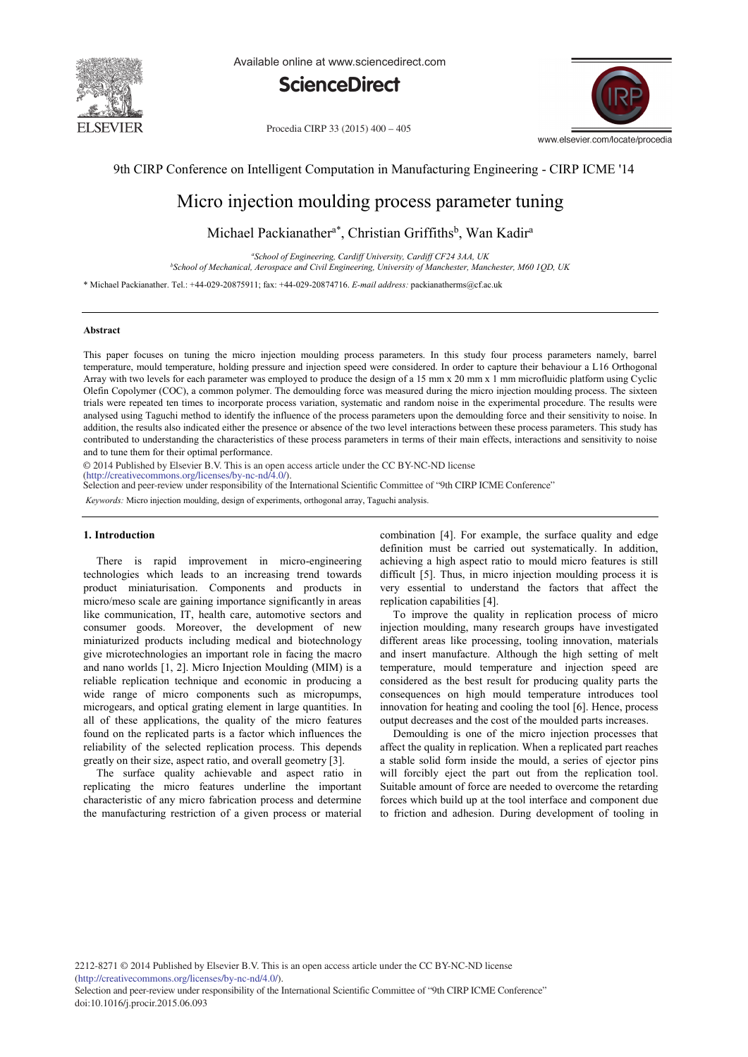

Available online at www.sciencedirect.com



Procedia CIRP 33 (2015) 400 - 405



9th CIRP Conference on Intelligent Computation in Manufacturing Engineering - CIRP ICME '14

# Micro injection moulding process parameter tuning

Michael Packianather<sup>a\*</sup>, Christian Griffiths<sup>b</sup>, Wan Kadir<sup>a</sup>

*a School of Engineering, Cardiff University, Cardiff CF24 3AA, UK b School of Mechanical, Aerospace and Civil Engineering, University of Manchester, Manchester, M60 1QD, UK*

\* Michael Packianather. Tel.: +44-029-20875911; fax: +44-029-20874716. *E-mail address:* packianatherms@cf.ac.uk

#### **Abstract**

This paper focuses on tuning the micro injection moulding process parameters. In this study four process parameters namely, barrel temperature, mould temperature, holding pressure and injection speed were considered. In order to capture their behaviour a L16 Orthogonal Array with two levels for each parameter was employed to produce the design of a 15 mm x 20 mm x 1 mm microfluidic platform using Cyclic Olefin Copolymer (COC), a common polymer. The demoulding force was measured during the micro injection moulding process. The sixteen trials were repeated ten times to incorporate process variation, systematic and random noise in the experimental procedure. The results were analysed using Taguchi method to identify the influence of the process parameters upon the demoulding force and their sensitivity to noise. In addition, the results also indicated either the presence or absence of the two level interactions between these process parameters. This study has contributed to understanding the characteristics of these process parameters in terms of their main effects, interactions and sensitivity to noise and to tune them for their optimal performance.

© 2014 Published by Elsevier B.V. This is an open access article under the CC BY-NC-ND license

(http://creativecommons.org/licenses/by-nc-nd/4.0/). Selection and peer-review under responsibility of the International Scientific Committee of "9th CIRP ICME Conference"

*Keywords:* Micro injection moulding, design of experiments, orthogonal array, Taguchi analysis.

## **1. Introduction**

There is rapid improvement in micro-engineering technologies which leads to an increasing trend towards product miniaturisation. Components and products in micro/meso scale are gaining importance significantly in areas like communication, IT, health care, automotive sectors and consumer goods. Moreover, the development of new miniaturized products including medical and biotechnology give microtechnologies an important role in facing the macro and nano worlds [1, 2]. Micro Injection Moulding (MIM) is a reliable replication technique and economic in producing a wide range of micro components such as micropumps, microgears, and optical grating element in large quantities. In all of these applications, the quality of the micro features found on the replicated parts is a factor which influences the reliability of the selected replication process. This depends greatly on their size, aspect ratio, and overall geometry [3].

The surface quality achievable and aspect ratio in replicating the micro features underline the important characteristic of any micro fabrication process and determine the manufacturing restriction of a given process or material combination [4]. For example, the surface quality and edge definition must be carried out systematically. In addition, achieving a high aspect ratio to mould micro features is still difficult [5]. Thus, in micro injection moulding process it is very essential to understand the factors that affect the replication capabilities [4].

To improve the quality in replication process of micro injection moulding, many research groups have investigated different areas like processing, tooling innovation, materials and insert manufacture. Although the high setting of melt temperature, mould temperature and injection speed are considered as the best result for producing quality parts the consequences on high mould temperature introduces tool innovation for heating and cooling the tool [6]. Hence, process output decreases and the cost of the moulded parts increases.

Demoulding is one of the micro injection processes that affect the quality in replication. When a replicated part reaches a stable solid form inside the mould, a series of ejector pins will forcibly eject the part out from the replication tool. Suitable amount of force are needed to overcome the retarding forces which build up at the tool interface and component due to friction and adhesion. During development of tooling in

2212-8271 © 2014 Published by Elsevier B.V. This is an open access article under the CC BY-NC-ND license (http://creativecommons.org/licenses/by-nc-nd/4.0/).

Selection and peer-review under responsibility of the International Scientific Committee of "9th CIRP ICME Conference" doi: 10.1016/j.procir.2015.06.093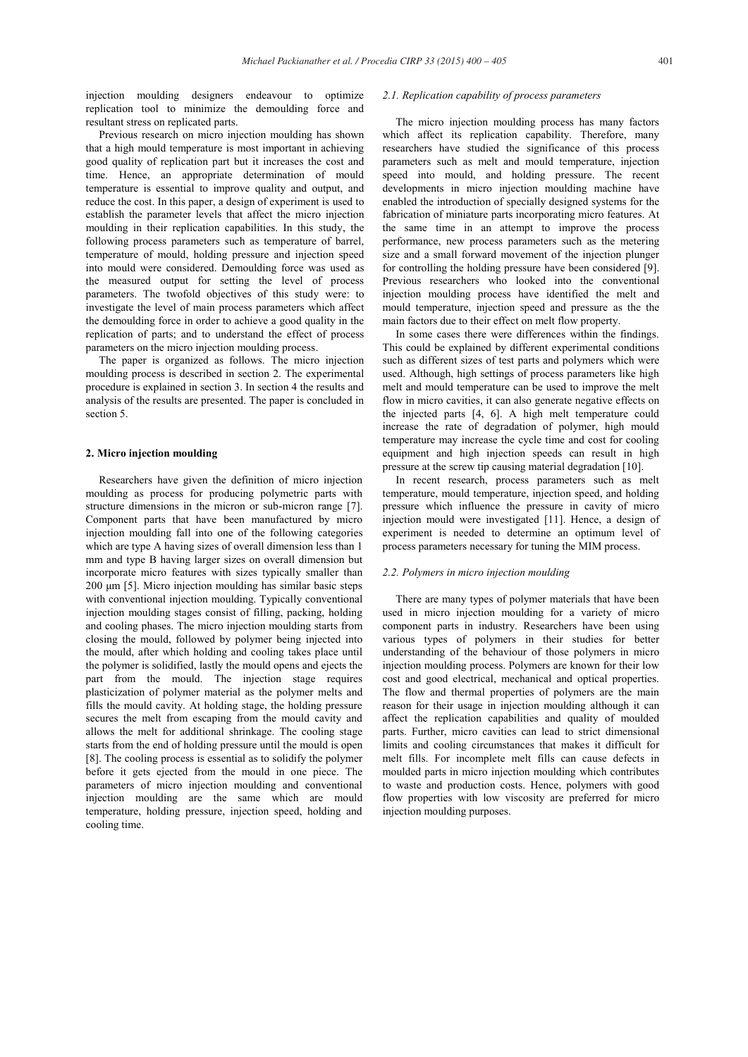injection moulding designers endeavour to optimize replication tool to minimize the demoulding force and resultant stress on replicated parts.

Previous research on micro injection moulding has shown that a high mould temperature is most important in achieving good quality of replication part but it increases the cost and time. Hence, an appropriate determination of mould temperature is essential to improve quality and output, and reduce the cost. In this paper, a design of experiment is used to establish the parameter levels that affect the micro injection moulding in their replication capabilities. In this study, the following process parameters such as temperature of barrel, temperature of mould, holding pressure and injection speed into mould were considered. Demoulding force was used as the measured output for setting the level of process parameters. The twofold objectives of this study were: to investigate the level of main process parameters which affect the demoulding force in order to achieve a good quality in the replication of parts; and to understand the effect of process parameters on the micro injection moulding process.

The paper is organized as follows. The micro injection moulding process is described in section 2. The experimental procedure is explained in section 3. In section 4 the results and analysis of the results are presented. The paper is concluded in section 5.

## **2. Micro injection moulding**

Researchers have given the definition of micro injection moulding as process for producing polymetric parts with structure dimensions in the micron or sub-micron range [7]. Component parts that have been manufactured by micro injection moulding fall into one of the following categories which are type A having sizes of overall dimension less than 1 mm and type B having larger sizes on overall dimension but incorporate micro features with sizes typically smaller than 200 μm [5]. Micro injection moulding has similar basic steps with conventional injection moulding. Typically conventional injection moulding stages consist of filling, packing, holding and cooling phases. The micro injection moulding starts from closing the mould, followed by polymer being injected into the mould, after which holding and cooling takes place until the polymer is solidified, lastly the mould opens and ejects the part from the mould. The injection stage requires plasticization of polymer material as the polymer melts and fills the mould cavity. At holding stage, the holding pressure secures the melt from escaping from the mould cavity and allows the melt for additional shrinkage. The cooling stage starts from the end of holding pressure until the mould is open [8]. The cooling process is essential as to solidify the polymer before it gets ejected from the mould in one piece. The parameters of micro injection moulding and conventional injection moulding are the same which are mould temperature, holding pressure, injection speed, holding and cooling time.

# *2.1. Replication capability of process parameters*

The micro injection moulding process has many factors which affect its replication capability. Therefore, many researchers have studied the significance of this process parameters such as melt and mould temperature, injection speed into mould, and holding pressure. The recent developments in micro injection moulding machine have enabled the introduction of specially designed systems for the fabrication of miniature parts incorporating micro features. At the same time in an attempt to improve the process performance, new process parameters such as the metering size and a small forward movement of the injection plunger for controlling the holding pressure have been considered [9]. Previous researchers who looked into the conventional injection moulding process have identified the melt and mould temperature, injection speed and pressure as the the main factors due to their effect on melt flow property.

In some cases there were differences within the findings. This could be explained by different experimental conditions such as different sizes of test parts and polymers which were used. Although, high settings of process parameters like high melt and mould temperature can be used to improve the melt flow in micro cavities, it can also generate negative effects on the injected parts [4, 6]. A high melt temperature could increase the rate of degradation of polymer, high mould temperature may increase the cycle time and cost for cooling equipment and high injection speeds can result in high pressure at the screw tip causing material degradation [10].

In recent research, process parameters such as melt temperature, mould temperature, injection speed, and holding pressure which influence the pressure in cavity of micro injection mould were investigated [11]. Hence, a design of experiment is needed to determine an optimum level of process parameters necessary for tuning the MIM process.

## *2.2. Polymers in micro injection moulding*

There are many types of polymer materials that have been used in micro injection moulding for a variety of micro component parts in industry. Researchers have been using various types of polymers in their studies for better understanding of the behaviour of those polymers in micro injection moulding process. Polymers are known for their low cost and good electrical, mechanical and optical properties. The flow and thermal properties of polymers are the main reason for their usage in injection moulding although it can affect the replication capabilities and quality of moulded parts. Further, micro cavities can lead to strict dimensional limits and cooling circumstances that makes it difficult for melt fills. For incomplete melt fills can cause defects in moulded parts in micro injection moulding which contributes to waste and production costs. Hence, polymers with good flow properties with low viscosity are preferred for micro injection moulding purposes.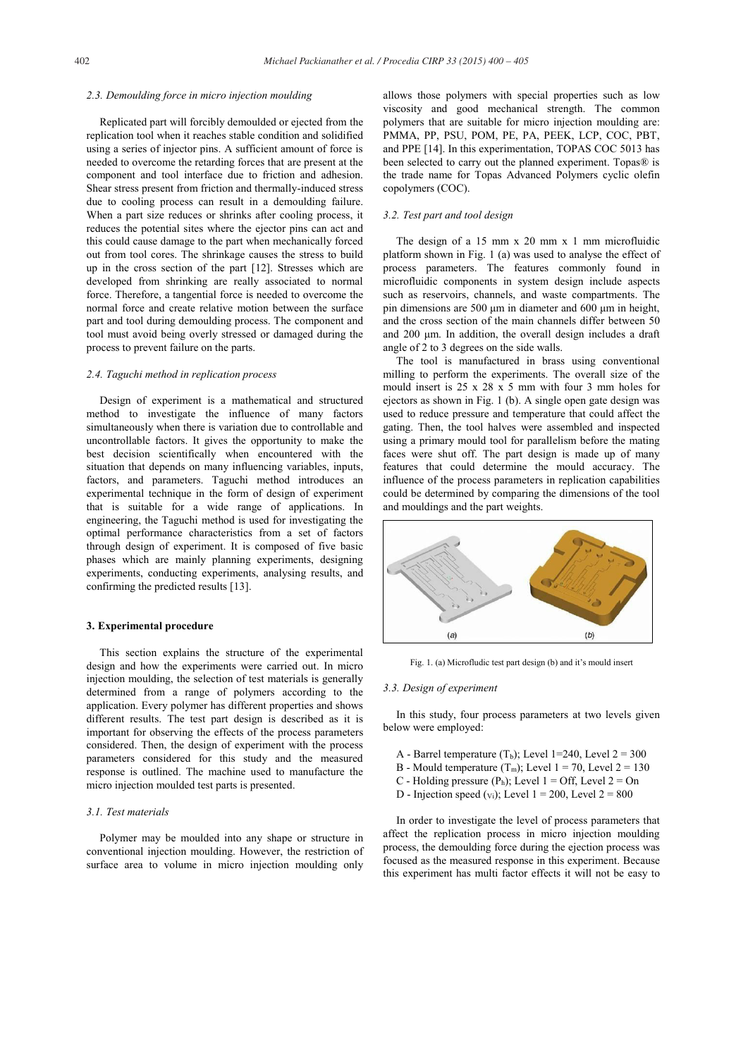#### *2.3. Demoulding force in micro injection moulding*

Replicated part will forcibly demoulded or ejected from the replication tool when it reaches stable condition and solidified using a series of injector pins. A sufficient amount of force is needed to overcome the retarding forces that are present at the component and tool interface due to friction and adhesion. Shear stress present from friction and thermally-induced stress due to cooling process can result in a demoulding failure. When a part size reduces or shrinks after cooling process, it reduces the potential sites where the ejector pins can act and this could cause damage to the part when mechanically forced out from tool cores. The shrinkage causes the stress to build up in the cross section of the part [12]. Stresses which are developed from shrinking are really associated to normal force. Therefore, a tangential force is needed to overcome the normal force and create relative motion between the surface part and tool during demoulding process. The component and tool must avoid being overly stressed or damaged during the process to prevent failure on the parts.

#### *2.4. Taguchi method in replication process*

Design of experiment is a mathematical and structured method to investigate the influence of many factors simultaneously when there is variation due to controllable and uncontrollable factors. It gives the opportunity to make the best decision scientifically when encountered with the situation that depends on many influencing variables, inputs, factors, and parameters. Taguchi method introduces an experimental technique in the form of design of experiment that is suitable for a wide range of applications. In engineering, the Taguchi method is used for investigating the optimal performance characteristics from a set of factors through design of experiment. It is composed of five basic phases which are mainly planning experiments, designing experiments, conducting experiments, analysing results, and confirming the predicted results [13].

#### **3. Experimental procedure**

This section explains the structure of the experimental design and how the experiments were carried out. In micro injection moulding, the selection of test materials is generally determined from a range of polymers according to the application. Every polymer has different properties and shows different results. The test part design is described as it is important for observing the effects of the process parameters considered. Then, the design of experiment with the process parameters considered for this study and the measured response is outlined. The machine used to manufacture the micro injection moulded test parts is presented.

## *3.1. Test materials*

Polymer may be moulded into any shape or structure in conventional injection moulding. However, the restriction of surface area to volume in micro injection moulding only allows those polymers with special properties such as low viscosity and good mechanical strength. The common polymers that are suitable for micro injection moulding are: PMMA, PP, PSU, POM, PE, PA, PEEK, LCP, COC, PBT, and PPE [14]. In this experimentation, TOPAS COC 5013 has been selected to carry out the planned experiment. Topas<sup>®</sup> is the trade name for Topas Advanced Polymers cyclic olefin copolymers (COC).

# *3.2. Test part and tool design*

The design of a 15 mm x 20 mm x 1 mm microfluidic platform shown in Fig. 1 (a) was used to analyse the effect of process parameters. The features commonly found in microfluidic components in system design include aspects such as reservoirs, channels, and waste compartments. The pin dimensions are 500 μm in diameter and 600 μm in height, and the cross section of the main channels differ between 50 and 200 μm. In addition, the overall design includes a draft angle of 2 to 3 degrees on the side walls.

The tool is manufactured in brass using conventional milling to perform the experiments. The overall size of the mould insert is 25 x 28 x 5 mm with four 3 mm holes for ejectors as shown in Fig. 1 (b). A single open gate design was used to reduce pressure and temperature that could affect the gating. Then, the tool halves were assembled and inspected using a primary mould tool for parallelism before the mating faces were shut off. The part design is made up of many features that could determine the mould accuracy. The influence of the process parameters in replication capabilities could be determined by comparing the dimensions of the tool and mouldings and the part weights.



Fig. 1. (a) Microfludic test part design (b) and it's mould insert

## *3.3. Design of experiment*

In this study, four process parameters at two levels given below were employed:

- A Barrel temperature  $(T_b)$ ; Level 1=240, Level 2 = 300
- B Mould temperature  $(T_m)$ ; Level 1 = 70, Level 2 = 130
- C Holding pressure  $(P_h)$ ; Level 1 = Off, Level 2 = On
- D Injection speed  $(v_i)$ ; Level 1 = 200, Level 2 = 800

In order to investigate the level of process parameters that affect the replication process in micro injection moulding process, the demoulding force during the ejection process was focused as the measured response in this experiment. Because this experiment has multi factor effects it will not be easy to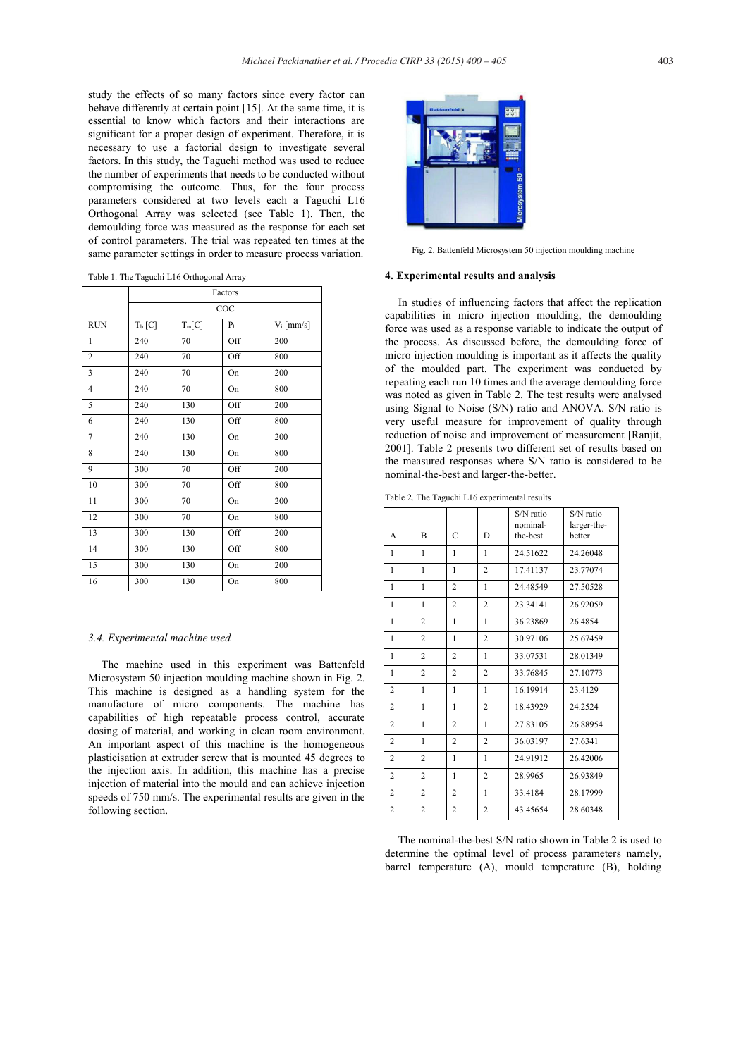study the effects of so many factors since every factor can behave differently at certain point [15]. At the same time, it is essential to know which factors and their interactions are significant for a proper design of experiment. Therefore, it is necessary to use a factorial design to investigate several factors. In this study, the Taguchi method was used to reduce the number of experiments that needs to be conducted without compromising the outcome. Thus, for the four process parameters considered at two levels each a Taguchi L16 Orthogonal Array was selected (see Table 1). Then, the demoulding force was measured as the response for each set of control parameters. The trial was repeated ten times at the same parameter settings in order to measure process variation.

Table 1. The Taguchi L16 Orthogonal Array

|                | Factors   |          |                |              |  |  |
|----------------|-----------|----------|----------------|--------------|--|--|
|                | COC       |          |                |              |  |  |
| <b>RUN</b>     | $T_b$ [C] | $T_m[C]$ | P <sub>h</sub> | $V_i$ [mm/s] |  |  |
| 1              | 240       | 70       | Off            | 200          |  |  |
| $\overline{2}$ | 240       | 70       | Off            | 800          |  |  |
| 3              | 240       | 70       | On             | 200          |  |  |
| $\overline{4}$ | 240       | 70       | On             | 800          |  |  |
| 5              | 240       | 130      | Off            | 200          |  |  |
| 6              | 240       | 130      | Off            | 800          |  |  |
| $\overline{7}$ | 240       | 130      | On             | 200          |  |  |
| 8              | 240       | 130      | On             | 800          |  |  |
| 9              | 300       | 70       | Off            | 200          |  |  |
| 10             | 300       | 70       | Off            | 800          |  |  |
| 11             | 300       | 70       | On             | 200          |  |  |
| 12             | 300       | 70       | On             | 800          |  |  |
| 13             | 300       | 130      | Off            | 200          |  |  |
| 14             | 300       | 130      | Off            | 800          |  |  |
| 15             | 300       | 130      | On             | 200          |  |  |
| 16             | 300       | 130      | On             | 800          |  |  |

## *3.4. Experimental machine used*

The machine used in this experiment was Battenfeld Microsystem 50 injection moulding machine shown in Fig. 2. This machine is designed as a handling system for the manufacture of micro components. The machine has capabilities of high repeatable process control, accurate dosing of material, and working in clean room environment. An important aspect of this machine is the homogeneous plasticisation at extruder screw that is mounted 45 degrees to the injection axis. In addition, this machine has a precise injection of material into the mould and can achieve injection speeds of 750 mm/s. The experimental results are given in the following section.



Fig. 2. Battenfeld Microsystem 50 injection moulding machine

## **4. Experimental results and analysis**

In studies of influencing factors that affect the replication capabilities in micro injection moulding, the demoulding force was used as a response variable to indicate the output of the process. As discussed before, the demoulding force of micro injection moulding is important as it affects the quality of the moulded part. The experiment was conducted by repeating each run 10 times and the average demoulding force was noted as given in Table 2. The test results were analysed using Signal to Noise (S/N) ratio and ANOVA. S/N ratio is very useful measure for improvement of quality through reduction of noise and improvement of measurement [Ranjit, 2001]. Table 2 presents two different set of results based on the measured responses where S/N ratio is considered to be nominal-the-best and larger-the-better.

Table 2. The Taguchi L16 experimental results

| A              | B              | C              | D              | S/N ratio<br>nominal-<br>the-best | S/N ratio<br>larger-the-<br>better |
|----------------|----------------|----------------|----------------|-----------------------------------|------------------------------------|
| $\mathbf{1}$   | $\mathbf{1}$   | 1              | $\mathbf{1}$   | 24.51622                          | 24.26048                           |
| $\mathbf{1}$   | 1              | 1              | $\overline{2}$ | 17.41137                          | 23.77074                           |
| $\mathbf{1}$   | $\mathbf{1}$   | $\overline{2}$ | 1              | 24.48549                          | 27.50528                           |
| 1              | 1              | $\overline{c}$ | $\overline{c}$ | 23.34141                          | 26.92059                           |
| 1              | 2              | 1              | 1              | 36.23869                          | 26.4854                            |
| 1              | 2              | 1              | 2              | 30.97106                          | 25.67459                           |
| 1              | $\overline{c}$ | 2              | 1              | 33.07531                          | 28.01349                           |
| 1              | $\overline{c}$ | $\overline{2}$ | $\overline{2}$ | 33.76845                          | 27.10773                           |
| $\overline{c}$ | $\mathbf{1}$   | 1              | $\mathbf{1}$   | 16.19914                          | 23.4129                            |
| $\overline{c}$ | $\mathbf{1}$   | 1              | $\overline{2}$ | 18.43929                          | 24.2524                            |
| $\overline{c}$ | $\mathbf{1}$   | $\overline{2}$ | $\mathbf{1}$   | 27.83105                          | 26.88954                           |
| $\overline{2}$ | $\mathbf{1}$   | $\overline{2}$ | $\overline{2}$ | 36.03197                          | 27.6341                            |
| 2              | 2              | 1              | $\mathbf{1}$   | 24.91912                          | 26.42006                           |
| 2              | 2              | 1              | $\overline{c}$ | 28.9965                           | 26.93849                           |
| 2              | 2              | 2              | 1              | 33.4184                           | 28.17999                           |
| $\overline{2}$ | 2              | 2              | $\overline{2}$ | 43.45654                          | 28.60348                           |

The nominal-the-best S/N ratio shown in Table 2 is used to determine the optimal level of process parameters namely, barrel temperature (A), mould temperature (B), holding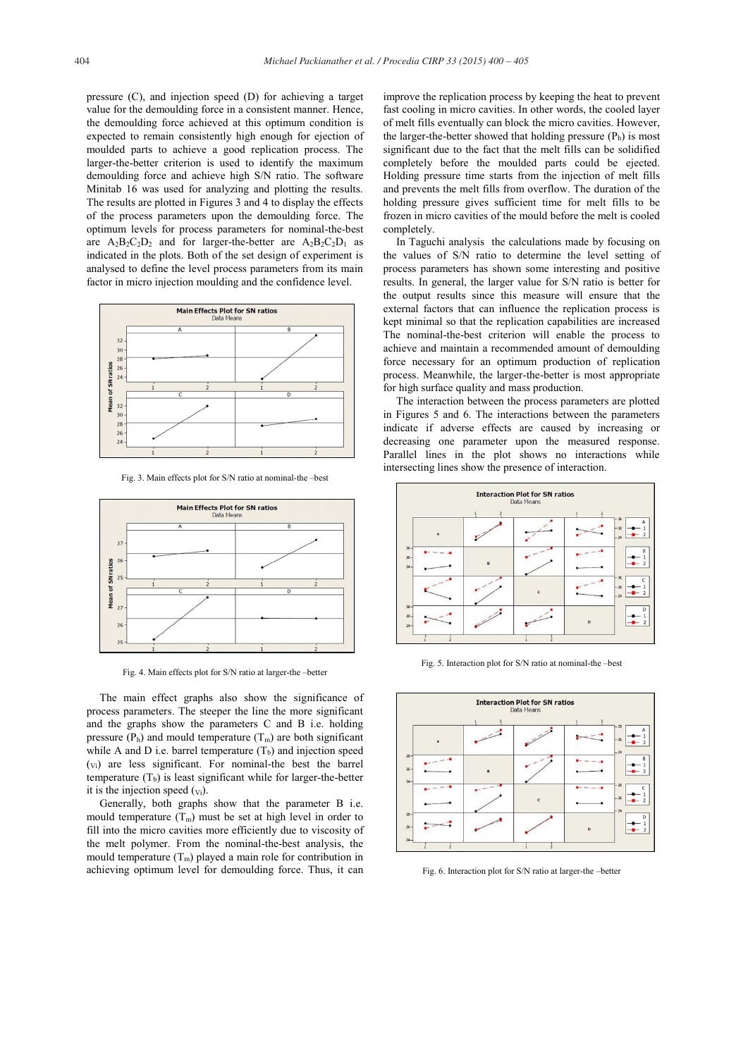pressure (C), and injection speed (D) for achieving a target value for the demoulding force in a consistent manner. Hence, the demoulding force achieved at this optimum condition is expected to remain consistently high enough for ejection of moulded parts to achieve a good replication process. The larger-the-better criterion is used to identify the maximum demoulding force and achieve high S/N ratio. The software Minitab 16 was used for analyzing and plotting the results. The results are plotted in Figures 3 and 4 to display the effects of the process parameters upon the demoulding force. The optimum levels for process parameters for nominal-the-best are  $A_2B_2C_2D_2$  and for larger-the-better are  $A_2B_2C_2D_1$  as indicated in the plots. Both of the set design of experiment is analysed to define the level process parameters from its main factor in micro injection moulding and the confidence level.



Fig. 3. Main effects plot for S/N ratio at nominal-the –best



Fig. 4. Main effects plot for S/N ratio at larger-the –better

The main effect graphs also show the significance of process parameters. The steeper the line the more significant and the graphs show the parameters C and B i.e. holding pressure  $(P_h)$  and mould temperature  $(T_m)$  are both significant while A and D i.e. barrel temperature  $(T_b)$  and injection speed (Vi) are less significant. For nominal-the best the barrel temperature  $(T_b)$  is least significant while for larger-the-better it is the injection speed  $(v_i)$ .

Generally, both graphs show that the parameter B i.e. mould temperature  $(T_m)$  must be set at high level in order to fill into the micro cavities more efficiently due to viscosity of the melt polymer. From the nominal-the-best analysis, the mould temperature  $(T_m)$  played a main role for contribution in achieving optimum level for demoulding force. Thus, it can

improve the replication process by keeping the heat to prevent fast cooling in micro cavities. In other words, the cooled layer of melt fills eventually can block the micro cavities. However, the larger-the-better showed that holding pressure  $(P_h)$  is most significant due to the fact that the melt fills can be solidified completely before the moulded parts could be ejected. Holding pressure time starts from the injection of melt fills and prevents the melt fills from overflow. The duration of the holding pressure gives sufficient time for melt fills to be frozen in micro cavities of the mould before the melt is cooled completely.

In Taguchi analysis the calculations made by focusing on the values of S/N ratio to determine the level setting of process parameters has shown some interesting and positive results. In general, the larger value for S/N ratio is better for the output results since this measure will ensure that the external factors that can influence the replication process is kept minimal so that the replication capabilities are increased The nominal-the-best criterion will enable the process to achieve and maintain a recommended amount of demoulding force necessary for an optimum production of replication process. Meanwhile, the larger-the-better is most appropriate for high surface quality and mass production.

The interaction between the process parameters are plotted in Figures 5 and 6. The interactions between the parameters indicate if adverse effects are caused by increasing or decreasing one parameter upon the measured response. Parallel lines in the plot shows no interactions while intersecting lines show the presence of interaction.



Fig. 5. Interaction plot for S/N ratio at nominal-the –best



Fig. 6. Interaction plot for S/N ratio at larger-the –better